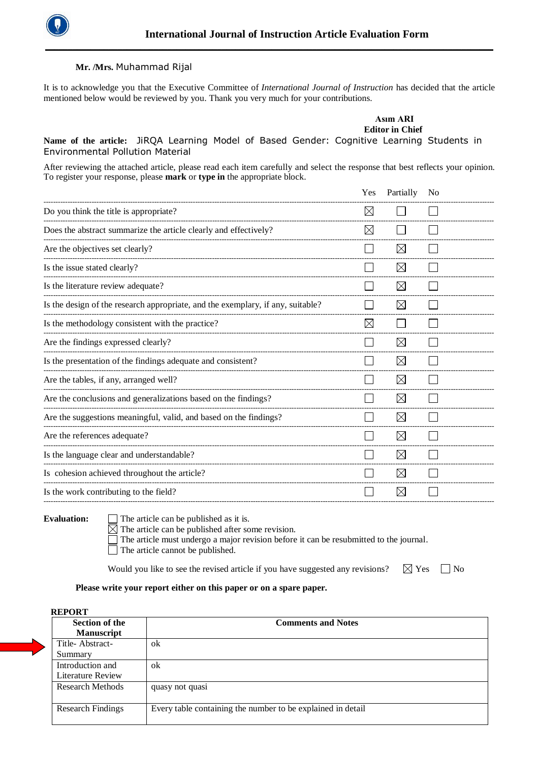

## **Mr. /Mrs.** Muhammad Rijal

It is to acknowledge you that the Executive Committee of *International Journal of Instruction* has decided that the article mentioned below would be reviewed by you. Thank you very much for your contributions.

**\_\_\_\_\_\_\_\_\_\_\_\_\_\_\_\_\_\_\_\_\_\_\_\_\_\_\_\_\_\_\_\_\_\_\_\_\_\_\_\_\_\_\_\_\_\_\_\_\_\_\_\_\_\_\_\_\_\_\_\_\_\_\_\_\_\_\_\_\_\_\_\_\_\_\_\_\_\_\_\_\_\_\_\_\_\_\_\_\_\_\_\_\_\_\_\_\_\_\_**

|                                                                                           |  |  |  | Asım ARI               |  |
|-------------------------------------------------------------------------------------------|--|--|--|------------------------|--|
|                                                                                           |  |  |  | <b>Editor in Chief</b> |  |
| Name of the article: JiRQA Learning Model of Based Gender: Cognitive Learning Students in |  |  |  |                        |  |
| Environmental Pollution Material                                                          |  |  |  |                        |  |

After reviewing the attached article, please read each item carefully and select the response that best reflects your opinion. To register your response, please **mark** or **type in** the appropriate block.

|                                                                                 | Yes         | Partially   | N <sub>o</sub> |
|---------------------------------------------------------------------------------|-------------|-------------|----------------|
| Do you think the title is appropriate?                                          | $\boxtimes$ |             |                |
| Does the abstract summarize the article clearly and effectively?                | $\boxtimes$ |             |                |
| Are the objectives set clearly?                                                 |             | $\boxtimes$ |                |
| Is the issue stated clearly?                                                    |             | $\boxtimes$ |                |
| Is the literature review adequate?                                              |             | $\boxtimes$ |                |
| Is the design of the research appropriate, and the exemplary, if any, suitable? |             | $\bowtie$   |                |
| Is the methodology consistent with the practice?                                | $\bowtie$   |             |                |
| Are the findings expressed clearly?                                             |             | $\boxtimes$ |                |
| Is the presentation of the findings adequate and consistent?                    |             | $\boxtimes$ |                |
| Are the tables, if any, arranged well?                                          |             | $\boxtimes$ |                |
| Are the conclusions and generalizations based on the findings?                  |             | $\boxtimes$ |                |
| Are the suggestions meaningful, valid, and based on the findings?               |             | $\times$    |                |
| Are the references adequate?                                                    |             | $\bowtie$   |                |
| Is the language clear and understandable?                                       |             | $\boxtimes$ |                |
| Is cohesion achieved throughout the article?                                    |             | $\boxtimes$ |                |
| Is the work contributing to the field?                                          |             | $\times$    |                |
|                                                                                 |             |             |                |

Evaluation:  $\Box$  The article can be published as it is.

 $\overline{\boxtimes}$  The article can be published after some revision.

The article must undergo a major revision before it can be resubmitted to the journal.

The article cannot be published.

Would you like to see the revised article if you have suggested any revisions?  $\boxtimes$  Yes  $\Box$  No

## **Please write your report either on this paper or on a spare paper.**

## **REPORT**

| <b>Section of the</b><br><b>Manuscript</b> | <b>Comments and Notes</b>                                   |
|--------------------------------------------|-------------------------------------------------------------|
| Title-Abstract-                            | ok                                                          |
| Summary                                    |                                                             |
| Introduction and                           | ok                                                          |
| Literature Review                          |                                                             |
| <b>Research Methods</b>                    | quasy not quasi                                             |
| <b>Research Findings</b>                   | Every table containing the number to be explained in detail |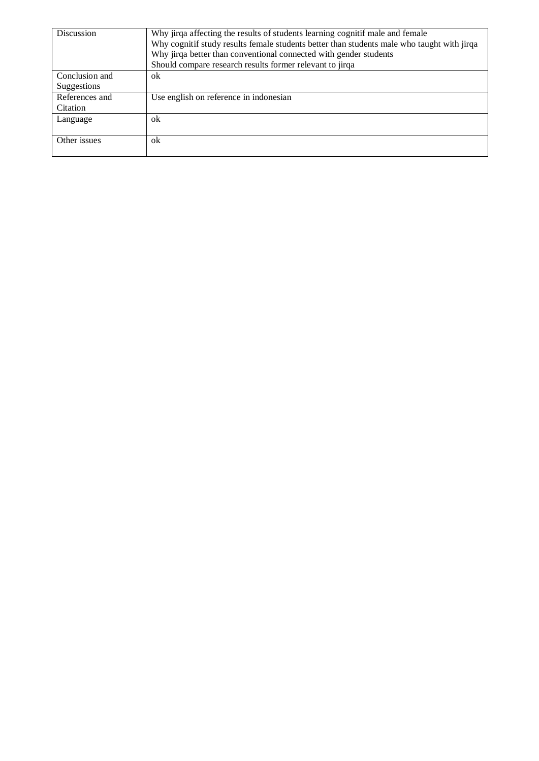| <b>Discussion</b>             | Why jirqa affecting the results of students learning cognitif male and female<br>Why cognitif study results female students better than students male who taught with jirqa<br>Why jirqa better than conventional connected with gender students<br>Should compare research results former relevant to jirqa |  |
|-------------------------------|--------------------------------------------------------------------------------------------------------------------------------------------------------------------------------------------------------------------------------------------------------------------------------------------------------------|--|
| Conclusion and<br>Suggestions | ok                                                                                                                                                                                                                                                                                                           |  |
| References and<br>Citation    | Use english on reference in indonesian                                                                                                                                                                                                                                                                       |  |
| Language                      | ok                                                                                                                                                                                                                                                                                                           |  |
| Other issues                  | ok                                                                                                                                                                                                                                                                                                           |  |